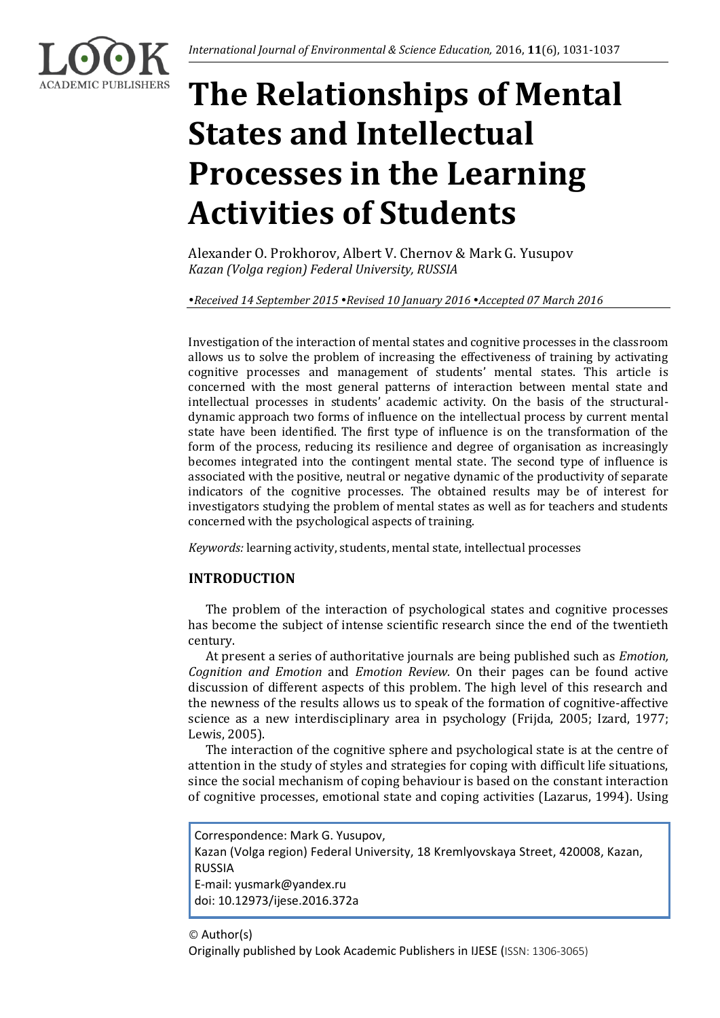# **The Relationships of Mental States and Intellectual Processes in the Learning Activities of Students**

Alexander O. Prokhorov, Albert V. Chernov & Mark G. Yusupov *Kazan (Volga region) Federal University, RUSSIA*

*Received 14 September 2015 Revised 10 January 2016 Accepted 07 March 2016*

Investigation of the interaction of mental states and cognitive processes in the classroom allows us to solve the problem of increasing the effectiveness of training by activating cognitive processes and management of students' mental states. This article is concerned with the most general patterns of interaction between mental state and intellectual processes in students' academic activity. On the basis of the structuraldynamic approach two forms of influence on the intellectual process by current mental state have been identified. The first type of influence is on the transformation of the form of the process, reducing its resilience and degree of organisation as increasingly becomes integrated into the contingent mental state. The second type of influence is associated with the positive, neutral or negative dynamic of the productivity of separate indicators of the cognitive processes. The obtained results may be of interest for investigators studying the problem of mental states as well as for teachers and students concerned with the psychological aspects of training.

*Keywords:* learning activity, students, mental state, intellectual processes

# **INTRODUCTION**

The problem of the interaction of psychological states and cognitive processes has become the subject of intense scientific research since the end of the twentieth century.

At present a series of authoritative journals are being published such as *Emotion, Cognition and Emotion* and *Emotion Review.* On their pages can be found active discussion of different aspects of this problem. The high level of this research and the newness of the results allows us to speak of the formation of cognitive-affective science as a new interdisciplinary area in psychology (Frijda, 2005; Izard, 1977; Lewis, 2005).

The interaction of the cognitive sphere and psychological state is at the centre of attention in the study of styles and strategies for coping with difficult life situations, since the social mechanism of coping behaviour is based on the constant interaction of cognitive processes, emotional state and coping activities (Lazarus, 1994). Using

Correspondence: Mark G. Yusupov, Kazan (Volga region) Federal University, 18 Kremlyovskaya Street, 420008, Kazan, RUSSIA E-mail: yusmark@yandex.ru doi: 10.12973/ijese.2016.372a

# © Author(s)

Originally published by Look Academic Publishers in IJESE (ISSN: 1306-3065)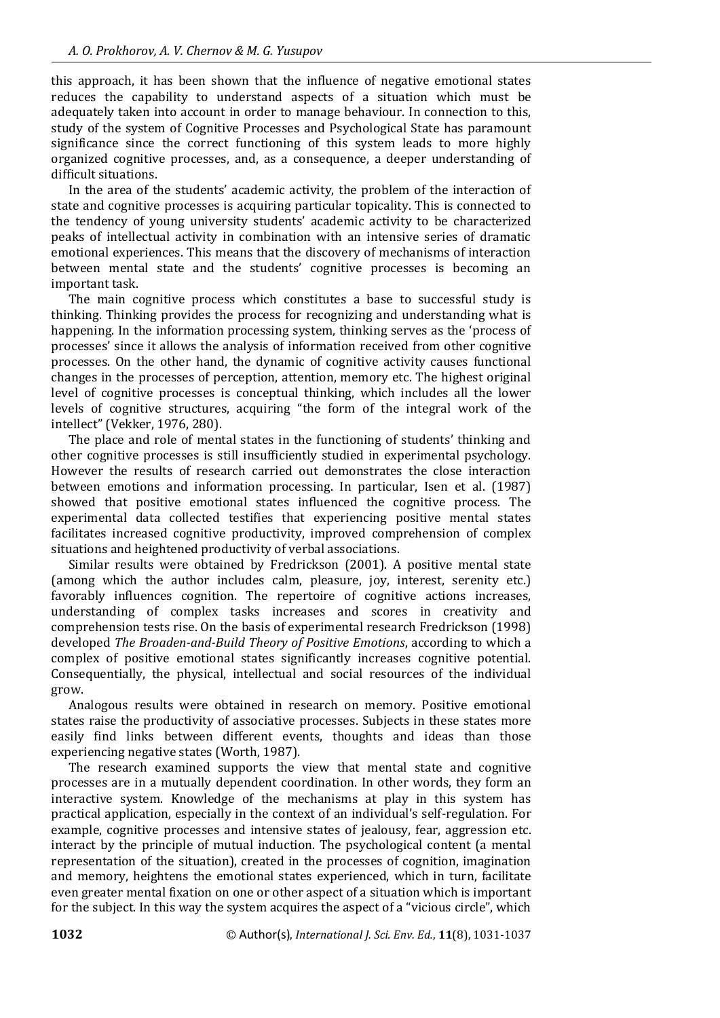this approach, it has been shown that the influence of negative emotional states reduces the capability to understand aspects of a situation which must be adequately taken into account in order to manage behaviour. In connection to this, study of the system of Cognitive Processes and Psychological State has paramount significance since the correct functioning of this system leads to more highly organized cognitive processes, and, as a consequence, a deeper understanding of difficult situations.

In the area of the students' academic activity, the problem of the interaction of state and cognitive processes is acquiring particular topicality. This is connected to the tendency of young university students' academic activity to be characterized peaks of intellectual activity in combination with an intensive series of dramatic emotional experiences. This means that the discovery of mechanisms of interaction between mental state and the students' cognitive processes is becoming an important task.

The main cognitive process which constitutes a base to successful study is thinking. Thinking provides the process for recognizing and understanding what is happening. In the information processing system, thinking serves as the 'process of processes' since it allows the analysis of information received from other cognitive processes. On the other hand, the dynamic of cognitive activity causes functional changes in the processes of perception, attention, memory etc. The highest original level of cognitive processes is conceptual thinking, which includes all the lower levels of cognitive structures, acquiring "the form of the integral work of the intellect" (Vekker, 1976, 280).

The place and role of mental states in the functioning of students' thinking and other cognitive processes is still insufficiently studied in experimental psychology. However the results of research carried out demonstrates the close interaction between emotions and information processing. In particular, Isen et al. (1987) showed that positive emotional states influenced the cognitive process. The experimental data collected testifies that experiencing positive mental states facilitates increased cognitive productivity, improved comprehension of complex situations and heightened productivity of verbal associations.

Similar results were obtained by Fredrickson (2001). A positive mental state (among which the author includes calm, pleasure, joy, interest, serenity etc.) favorably influences cognition. The repertoire of cognitive actions increases, understanding of complex tasks increases and scores in creativity and comprehension tests rise. On the basis of experimental research Fredrickson (1998) developed *The Broaden-and-Build Theory of Positive Emotions*, according to which a complex of positive emotional states significantly increases cognitive potential. Consequentially, the physical, intellectual and social resources of the individual grow.

Analogous results were obtained in research on memory. Positive emotional states raise the productivity of associative processes. Subjects in these states more easily find links between different events, thoughts and ideas than those experiencing negative states (Worth, 1987).

The research examined supports the view that mental state and cognitive processes are in a mutually dependent coordination. In other words, they form an interactive system. Knowledge of the mechanisms at play in this system has practical application, especially in the context of an individual's self-regulation. For example, cognitive processes and intensive states of jealousy, fear, aggression etc. interact by the principle of mutual induction. The psychological content (a mental representation of the situation), created in the processes of cognition, imagination and memory, heightens the emotional states experienced, which in turn, facilitate even greater mental fixation on one or other aspect of a situation which is important for the subject. In this way the system acquires the aspect of a "vicious circle", which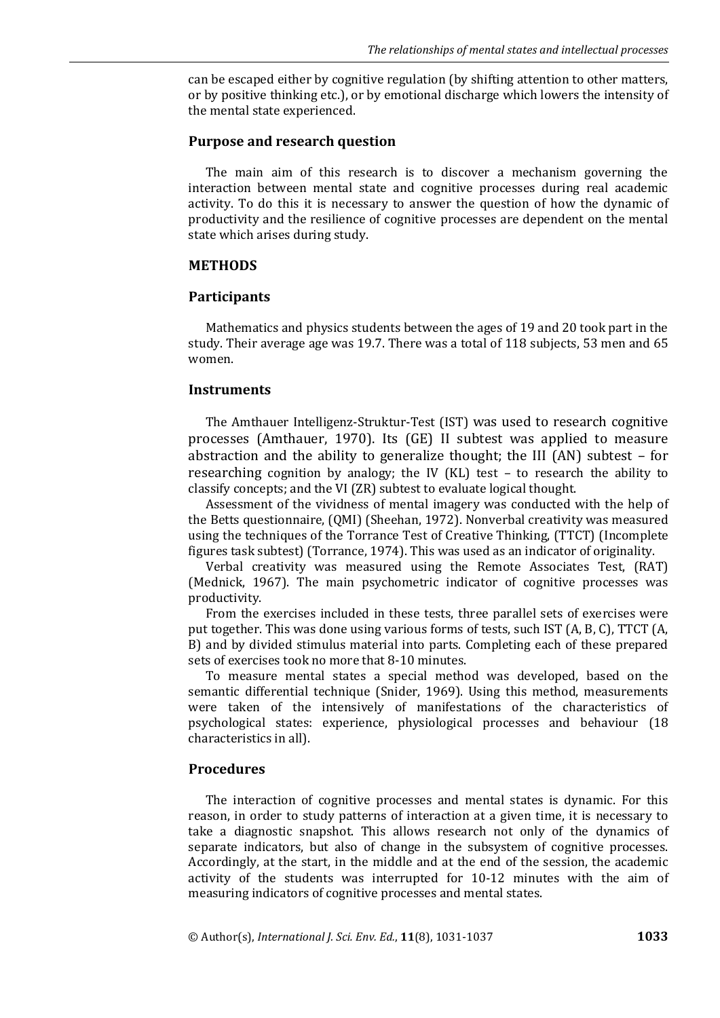can be escaped either by cognitive regulation (by shifting attention to other matters, or by positive thinking etc.), or by emotional discharge which lowers the intensity of the mental state experienced.

### **Purpose and research question**

The main aim of this research is to discover a mechanism governing the interaction between mental state and cognitive processes during real academic activity. To do this it is necessary to answer the question of how the dynamic of productivity and the resilience of cognitive processes are dependent on the mental state which arises during study.

#### **METHODS**

#### **Participants**

Mathematics and physics students between the ages of 19 and 20 took part in the study. Their average age was 19.7. There was a total of 118 subjects, 53 men and 65 women.

#### **Instruments**

The Amthauer Intelligenz-Struktur-Test (IST) was used to research cognitive processes (Amthauer, 1970). Its (GE) ΙΙ subtest was applied to measure abstraction and the ability to generalize thought; the ΙΙΙ (AN) subtest – for researching cognition by analogy; the ΙV (KL) test – to research the ability to classify concepts; and the VΙ (ZR) subtest to evaluate logical thought.

Assessment of the vividness of mental imagery was conducted with the help of the Betts questionnaire, (QMI) (Sheehan, 1972). Nonverbal creativity was measured using the techniques of the Torrance Test of Creative Thinking, (TTCT) (Incomplete figures task subtest) (Torrance, 1974). This was used as an indicator of originality.

Verbal creativity was measured using the Remote Associates Test, (RAT) (Mednick, 1967). The main psychometric indicator of cognitive processes was productivity.

From the exercises included in these tests, three parallel sets of exercises were put together. This was done using various forms of tests, such IST (A, B, C), TTCT (A, B) and by divided stimulus material into parts. Completing each of these prepared sets of exercises took no more that 8-10 minutes.

To measure mental states a special method was developed, based on the semantic differential technique (Snider, 1969). Using this method, measurements were taken of the intensively of manifestations of the characteristics of psychological states: experience, physiological processes and behaviour (18 characteristics in all).

#### **Procedures**

The interaction of cognitive processes and mental states is dynamic. For this reason, in order to study patterns of interaction at a given time, it is necessary to take a diagnostic snapshot. This allows research not only of the dynamics of separate indicators, but also of change in the subsystem of cognitive processes. Accordingly, at the start, in the middle and at the end of the session, the academic activity of the students was interrupted for 10-12 minutes with the aim of measuring indicators of cognitive processes and mental states.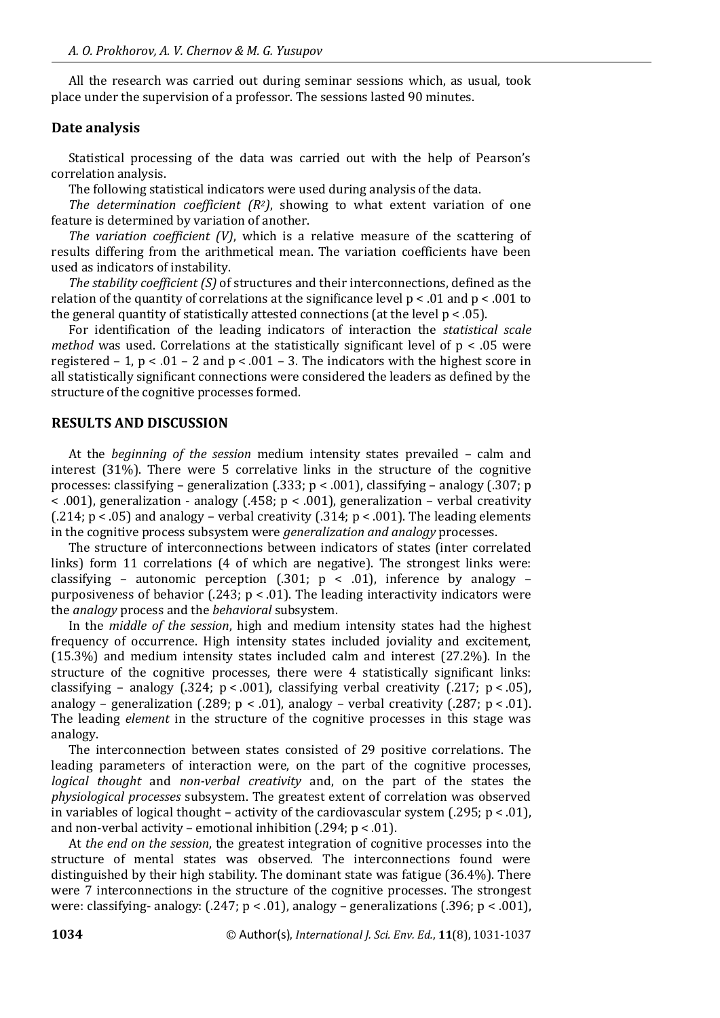All the research was carried out during seminar sessions which, as usual, took place under the supervision of a professor. The sessions lasted 90 minutes.

# **Date analysis**

Statistical processing of the data was carried out with the help of Pearson's correlation analysis.

The following statistical indicators were used during analysis of the data.

*The determination coefficient (R2)*, showing to what extent variation of one feature is determined by variation of another.

*The variation coefficient (V)*, which is a relative measure of the scattering of results differing from the arithmetical mean. The variation coefficients have been used as indicators of instability.

*The stability coefficient (S)* of structures and their interconnections, defined as the relation of the quantity of correlations at the significance level  $p < .01$  and  $p < .001$  to the general quantity of statistically attested connections (at the level  $p < .05$ ).

For identification of the leading indicators of interaction the *statistical scale method* was used. Correlations at the statistically significant level of  $p < .05$  were registered – 1,  $p < .01 - 2$  and  $p < .001 - 3$ . The indicators with the highest score in all statistically significant connections were considered the leaders as defined by the structure of the cognitive processes formed.

# **RESULTS AND DISCUSSION**

At the *beginning of the session* medium intensity states prevailed – calm and interest (31%). There were 5 correlative links in the structure of the cognitive processes: classifying – generalization (.333; p < .001), classifying – analogy (.307; p < .001), generalization - analogy (.458; p < .001), generalization – verbal creativity (.214;  $p < .05$ ) and analogy – verbal creativity (.314;  $p < .001$ ). The leading elements in the cognitive process subsystem were *generalization and analogy* processes.

The structure of interconnections between indicators of states (inter correlated links) form 11 correlations (4 of which are negative). The strongest links were: classifying - autonomic perception (.301;  $p \lt 0.01$ ), inference by analogy purposiveness of behavior (.243;  $p < .01$ ). The leading interactivity indicators were the *analogy* process and the *behavioral* subsystem.

In the *middle of the session*, high and medium intensity states had the highest frequency of occurrence. High intensity states included joviality and excitement, (15.3%) and medium intensity states included calm and interest (27.2%). In the structure of the cognitive processes, there were 4 statistically significant links: classifying – analogy (.324;  $p < .001$ ), classifying verbal creativity (.217;  $p < .05$ ), analogy – generalization (.289;  $p < .01$ ), analogy – verbal creativity (.287;  $p < .01$ ). The leading *element* in the structure of the cognitive processes in this stage was analogy.

The interconnection between states consisted of 29 positive correlations. The leading parameters of interaction were, on the part of the cognitive processes, *logical thought* and *non-verbal creativity* and, on the part of the states the *physiological processes* subsystem. The greatest extent of correlation was observed in variables of logical thought – activity of the cardiovascular system (.295;  $p < .01$ ), and non-verbal activity – emotional inhibition (.294; p < .01).

At *the end on the session*, the greatest integration of cognitive processes into the structure of mental states was observed. The interconnections found were distinguished by their high stability. The dominant state was fatigue (36.4%). There were 7 interconnections in the structure of the cognitive processes. The strongest were: classifying- analogy: (.247; p < .01), analogy – generalizations (.396; p < .001),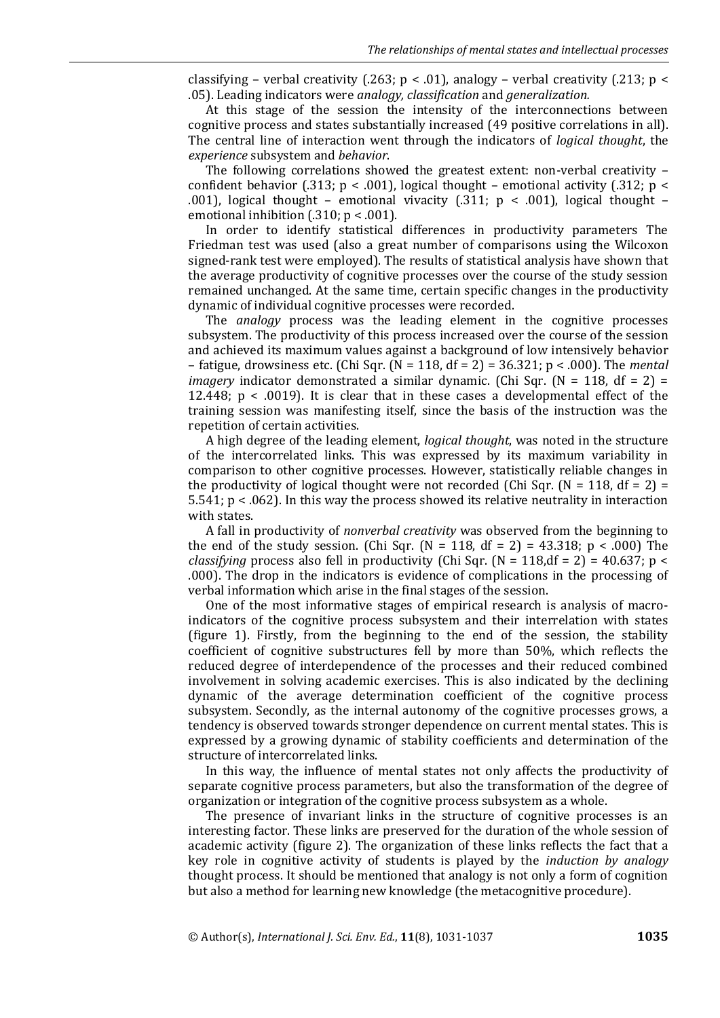classifying – verbal creativity (.263;  $p < .01$ ), analogy – verbal creativity (.213;  $p <$ .05). Leading indicators were *analogy, classification* and *generalization.*

At this stage of the session the intensity of the interconnections between cognitive process and states substantially increased (49 positive correlations in all). The central line of interaction went through the indicators of *logical thought*, the *experience* subsystem and *behavior*.

The following correlations showed the greatest extent: non-verbal creativity – confident behavior (.313;  $p < .001$ ), logical thought – emotional activity (.312;  $p <$ .001), logical thought – emotional vivacity  $(.311; p \lt .001)$ , logical thought – emotional inhibition (.310; p < .001).

In order to identify statistical differences in productivity parameters The Friedman test was used (also a great number of comparisons using the Wilcoxon signed-rank test were employed). The results of statistical analysis have shown that the average productivity of cognitive processes over the course of the study session remained unchanged. At the same time, certain specific changes in the productivity dynamic of individual cognitive processes were recorded.

The *analogy* process was the leading element in the cognitive processes subsystem. The productivity of this process increased over the course of the session and achieved its maximum values against a background of low intensively behavior – fatigue, drowsiness etc. (Chi Sqr. (N = 118, df = 2) = 36.321; p < .000). The *mental imagery* indicator demonstrated a similar dynamic. (Chi Sqr. (N = 118, df = 2) = 12.448; p < .0019). It is clear that in these cases a developmental effect of the training session was manifesting itself, since the basis of the instruction was the repetition of certain activities.

A high degree of the leading element, *logical thought*, was noted in the structure of the intercorrelated links. This was expressed by its maximum variability in comparison to other cognitive processes. However, statistically reliable changes in the productivity of logical thought were not recorded (Chi Sqr.  $(N = 118, df = 2)$ ) 5.541; p < .062). In this way the process showed its relative neutrality in interaction with states.

A fall in productivity of *nonverbal creativity* was observed from the beginning to the end of the study session. (Chi Sqr. (N = 118, df = 2) = 43.318; p < .000) The *classifying* process also fell in productivity (Chi Sqr. (N = 118,df = 2) = 40.637; p < .000). The drop in the indicators is evidence of complications in the processing of verbal information which arise in the final stages of the session.

One of the most informative stages of empirical research is analysis of macroindicators of the cognitive process subsystem and their interrelation with states (figure 1). Firstly, from the beginning to the end of the session, the stability coefficient of cognitive substructures fell by more than 50%, which reflects the reduced degree of interdependence of the processes and their reduced combined involvement in solving academic exercises. This is also indicated by the declining dynamic of the average determination coefficient of the cognitive process subsystem. Secondly, as the internal autonomy of the cognitive processes grows, a tendency is observed towards stronger dependence on current mental states. This is expressed by a growing dynamic of stability coefficients and determination of the structure of intercorrelated links.

In this way, the influence of mental states not only affects the productivity of separate cognitive process parameters, but also the transformation of the degree of organization or integration of the cognitive process subsystem as a whole.

The presence of invariant links in the structure of cognitive processes is an interesting factor. These links are preserved for the duration of the whole session of academic activity (figure 2). The organization of these links reflects the fact that a key role in cognitive activity of students is played by the *induction by analogy* thought process. It should be mentioned that analogy is not only a form of cognition but also a method for learning new knowledge (the metacognitive procedure).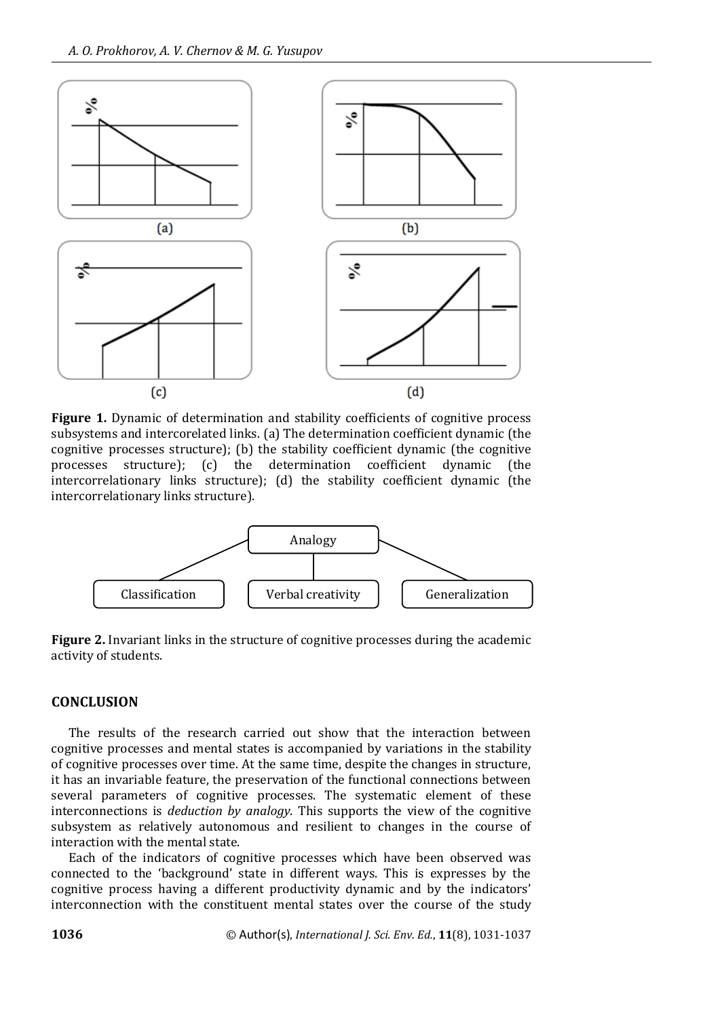

**Figure 1.** Dynamic of determination and stability coefficients of cognitive process subsystems and intercorelated links. (a) The determination coefficient dynamic (the cognitive processes structure); (b) the stability coefficient dynamic (the cognitive processes structure); (c) the determination coefficient dynamic (the intercorrelationary links structure); (d) the stability coefficient dynamic (the intercorrelationary links structure).



**Figure 2.** Invariant links in the structure of cognitive processes during the academic activity of students.

# **CONCLUSION**

The results of the research carried out show that the interaction between cognitive processes and mental states is accompanied by variations in the stability of cognitive processes over time. At the same time, despite the changes in structure, it has an invariable feature, the preservation of the functional connections between several parameters of cognitive processes. The systematic element of these interconnections is *deduction by analogy*. This supports the view of the cognitive subsystem as relatively autonomous and resilient to changes in the course of interaction with the mental state.

Each of the indicators of cognitive processes which have been observed was connected to the 'background' state in different ways. This is expresses by the cognitive process having a different productivity dynamic and by the indicators' interconnection with the constituent mental states over the course of the study

**1036** © Author(s), *International J. Sci. Env. Ed.*, **11**(8), 1031-1037